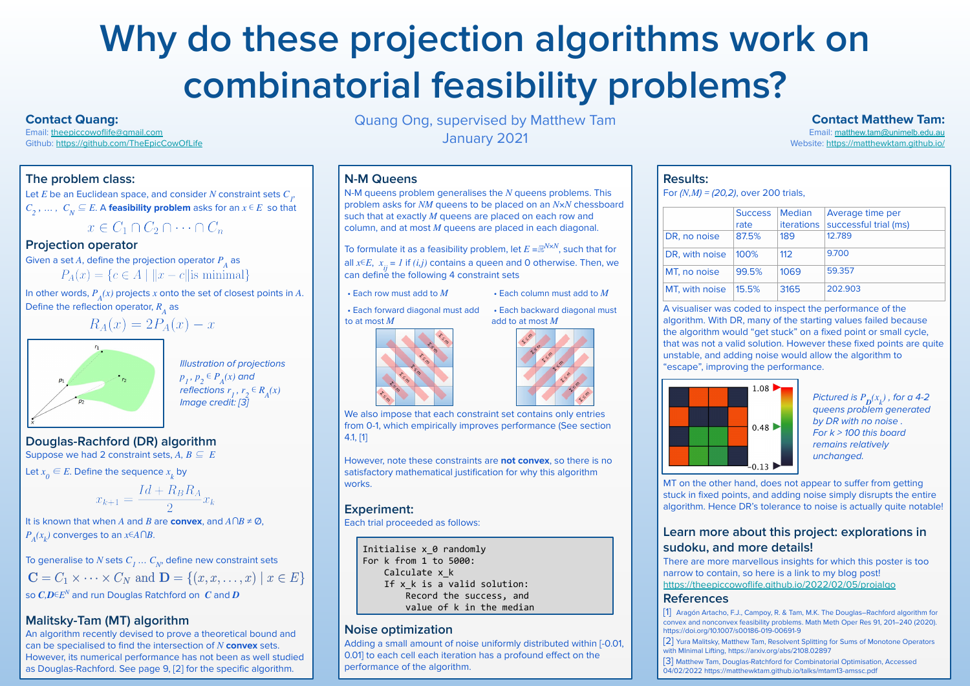# **Why do these projection algorithms work on combinatorial feasibility problems?**

Quang Ong, supervised by Matthew Tam January 2021

#### **The problem class:**

Let  $E$  be an Euclidean space, and consider  $N$  constraint sets  $C_{\overline{P}}$  $C_2$  , … ,  $C_N \subseteq E$ . A **feasibility problem** asks for an  $x \in E$  so that

# $x \in C_1 \cap C_2 \cap \cdots \cap C_n$

#### **Projection operator**

It is known that when *A* and *B* are **convex**, and *A∩B* ≠ Ø,  $P_A(x_k)$  converges to an  $x \in A \cap B$ .

Given a set  $A$ , define the projection operator  $P_{\overline{A}}$  as

In other words,  $P_A(x)$  projects *x* onto the set of closest points in *A*. Define the reflection operator,  $R_{\stackrel{\ }{A}}$  as



To generalise to  $N$  sets  $C_{\overline{I}}\,...\,C_{\overline{N}'}$  define new constraint sets  $\mathbf{C} = C_1 \times \cdots \times C_N$  and  $\mathbf{D} = \{(x, x, \dots, x) \mid x \in E\}$ so *C,D*∊*EN* and run Douglas Ratchford on *C* and *D*

#### **Douglas-Rachford (DR) algorithm**

Suppose we had 2 constraint sets,  $A, B \subseteq E$ 

Let  $x_0 \in E$ . Define the sequence  $x_k$  by

$$
x_{k+1} = \frac{Id + R_B R_A}{2} x_k
$$

To formulate it as a feasibility problem, let *E =*ℝ*N×N*, such that for all  $x \in E$ ,  $x_{ij} = I$  if  $(i, j)$  contains a queen and 0 otherwise. Then, we can define the following 4 constraint sets

#### **Malitsky-Tam (MT) algorithm**

We also impose that each constraint set contains only entries from 0-1, which empirically improves performance (See section 4.1, [1]

An algorithm recently devised to prove a theoretical bound and can be specialised to find the intersection of *N* **convex** sets. However, its numerical performance has not been as well studied as Douglas-Rachford. See page 9, [2] for the specific algorithm.

#### **N-M Queens**

N-M queens problem generalises the *N* queens problems. This problem asks for *NM* queens to be placed on an *N×N* chessboard such that at exactly *M* queens are placed on each row and column, and at most *M* queens are placed in each diagonal.

However, note these constraints are **not convex**, so there is no satisfactory mathematical justification for why this algorithm works.

#### **Experiment:**

Each trial proceeded as follows:

#### **Noise optimization**

Adding a small amount of noise uniformly distributed within [-0.01, 0.01] to each cell each iteration has a profound effect on the performance of the algorithm.

Pictured is  $P_{\bm{D}}(x_k)$  , for a 4-2 queens problem generated by DR with no noise . For  $k > 100$  this board remains relatively unchanged.

**Results:**

A visualiser was coded to inspect the performance of the algorithm. With DR, many of the starting values failed because the algorithm would "get stuck" on a fixed point or small cycle, that was not a valid solution. However these fixed points are quite unstable, and adding noise would allow the algorithm to "escape", improving the performance.



MT on the other hand, does not appear to suffer from getting stuck in fixed points, and adding noise simply disrupts the entire algorithm. Hence DR's tolerance to noise is actually quite notable!

### **Learn more about this project: explorations in sudoku, and more details!**

There are more marvellous insights for which this poster is too narrow to contain, so here is a link to my blog post! <https://theepiccowoflife.github.io/2022/02/05/projalgo>

#### **References**

| For $(N,M) = (20,2)$ , over 200 trials, |                |                   |                       |
|-----------------------------------------|----------------|-------------------|-----------------------|
|                                         | <b>Success</b> | <b>Median</b>     | Average time per      |
|                                         | rate           | <b>iterations</b> | successful trial (ms) |
| DR, no noise                            | 87.5%          | 189               | 12.789                |
| DR, with noise                          | 100%           | 112               | 9.700                 |
| MT, no noise                            | 99.5%          | 1069              | 59.357                |
| MT, with noise                          | 15.5%          | 3165              | 202.903               |

[1] Aragón Artacho, F.J., Campoy, R. & Tam, M.K. The Douglas–Rachford algorithm for convex and nonconvex feasibility problems. Math Meth Oper Res 91, 201–240 (2020). https://doi.org/10.1007/s00186-019-00691-9

[2] Yura Malitsky, Matthew Tam, Resolvent Splitting for Sums of Monotone Operators with MInimal Lifting, https://arxiv.org/abs/2108.02897

[3] Matthew Tam, Douglas-Ratchford for Combinatorial Optimisation, Accessed 04/02/2022 https://matthewktam.github.io/talks/mtam13-amssc.pdf

- 
- Each row must add to *M* Each column must add to *M*
- Each forward diagonal must add to at most *M*







Initialise x\_0 randomly For k from 1 to 5000: Calculate x\_k If x k is a valid solution: Record the success, and value of k in the median

Illustration of projections  $p_1$ ,  $p_2 \in P_A(x)$  and reflections  $r_1, r_2 \in R_A(x)$ Image credit: [3]

#### **Contact Quang:**

Email: [theepiccowoflife@gmail.com](mailto:theepiccowoflife@gmail.com) Github: <https://github.com/TheEpicCowOfLife>

#### **Contact Matthew Tam:**

Email: [matthew.tam@unimelb.edu.au](mailto:matthew.tam@unimelb.edu.au) Website: <https://matthewktam.github.io/>